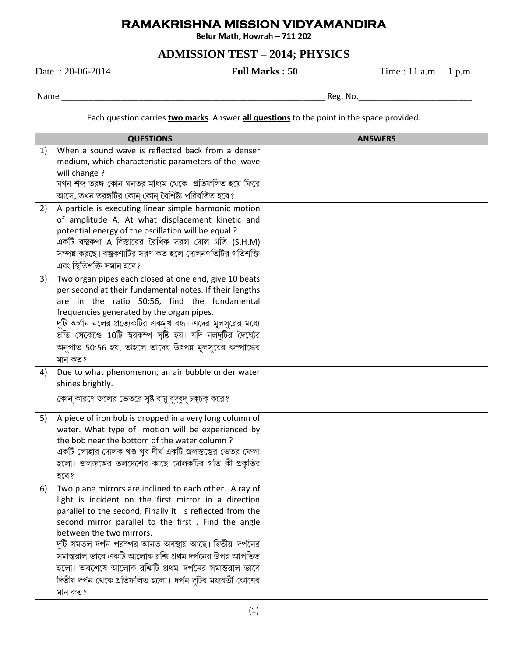## **RAMAKRISHNA MISSION VIDYAMANDIRA**

**Belur Math, Howrah – 711 202**

## **ADMISSION TEST – 2014; PHYSICS**

Date : 20-06-2014 **Full Marks : 50** Time : 11 a.m – 1 p.m

Name \_\_\_\_\_\_\_\_\_\_\_\_\_\_\_\_\_\_\_\_\_\_\_\_\_\_\_\_\_\_\_\_\_\_\_\_\_\_\_\_\_\_\_\_\_\_\_\_\_\_\_\_\_\_\_\_\_\_ Reg. No.\_\_\_\_\_\_\_\_\_\_\_\_\_\_\_\_\_\_\_\_\_\_\_\_\_

Each question carries **two marks**. Answer **all questions** to the point in the space provided.

|    | <b>QUESTIONS</b>                                                                                                                                                                                                                                                                                                                                                                                                                                                                                                         | <b>ANSWERS</b> |
|----|--------------------------------------------------------------------------------------------------------------------------------------------------------------------------------------------------------------------------------------------------------------------------------------------------------------------------------------------------------------------------------------------------------------------------------------------------------------------------------------------------------------------------|----------------|
| 1) | When a sound wave is reflected back from a denser<br>medium, which characteristic parameters of the wave<br>will change?<br>যখন শব্দ তরঙ্গ কোন ঘনতর মাধ্যম থেকে প্রতিফলিত হয়ে ফিরে<br>আসে, তখন তরঙ্গটির কোন্ কোন্ বৈশিষ্ট্য পরিবর্তিত হবে?                                                                                                                                                                                                                                                                              |                |
| 2) | A particle is executing linear simple harmonic motion<br>of amplitude A. At what displacement kinetic and<br>potential energy of the oscillation will be equal?<br>একটি বস্তুকণা A বিস্তারের রৈখিক সরল দোল গতি (S.H.M)<br>সম্পন্ন করছে। বস্তুকণাটির সরণ কত হলে দোলনগতিটির গতিশক্তি<br>এবং স্থিতিশক্তি সমান হবে?                                                                                                                                                                                                          |                |
| 3) | Two organ pipes each closed at one end, give 10 beats<br>per second at their fundamental notes. If their lengths<br>are in the ratio 50:56, find the fundamental<br>frequencies generated by the organ pipes.<br>দুটি অর্গান নলের প্রত্যেকটির একমুখ বন্ধ। এদের মূলসুরের মধ্যে<br>প্রতি সেকেণ্ডে 10টি স্বরকম্প সৃষ্টি হয়। যদি নলদুটির দৈর্ঘ্যের<br>অনুপাত 50:56 হয়, তাহলে তাদের উৎপন্ন মূলসুরের কম্পাঙ্কের<br>মান কত?                                                                                                   |                |
| 4) | Due to what phenomenon, an air bubble under water<br>shines brightly.<br>কোন্ কারণে জলের ভেতরে সৃষ্ট বায়ু বুদ্বুদ্ চক্চক্ করে ?                                                                                                                                                                                                                                                                                                                                                                                         |                |
| 5) | A piece of iron bob is dropped in a very long column of<br>water. What type of motion will be experienced by<br>the bob near the bottom of the water column?<br>একটি লোহার দোলক খণ্ড খুব দীর্ঘ একটি জলস্তম্ভের ভেতর ফেলা<br>হলো। জলস্তম্ভের তলদেশের কাছে দোলকটির গতি কী প্রকৃতির<br>হবে?                                                                                                                                                                                                                                 |                |
| 6) | Two plane mirrors are inclined to each other. A ray of<br>light is incident on the first mirror in a direction<br>parallel to the second. Finally it is reflected from the<br>second mirror parallel to the first. Find the angle<br>between the two mirrors.<br>দুটি সমতল দর্পন পরস্পর আনত অবস্থায় আছে। দ্বিতীয় দর্পনের<br>সমান্তরাল ভাবে একটি আলোক রশ্মি প্রথম দর্পনের উপর আপতিত<br>হলো। অবশেষে আলোক রশ্মিটি প্রথম দর্পনের সমান্তরাল ভাবে<br>দিতীয় দর্পন থেকে প্রতিফলিত হলো। দর্পন দুটির মধ্যবর্তী কোণের<br>মান কত? |                |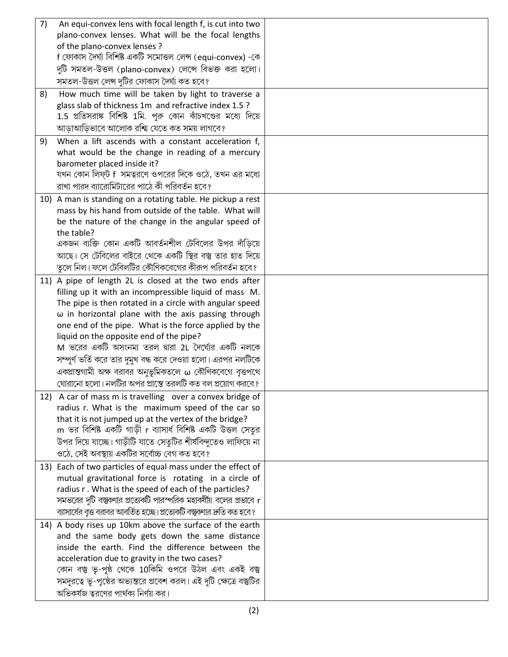| 7) | An equi-convex lens with focal length f, is cut into two<br>plano-convex lenses. What will be the focal lengths<br>of the plano-convex lenses ?<br>f ফোকাস দৈৰ্ঘ্য বিশিষ্ট একটি সমোত্তল লেন্স (equi-convex) -কে<br>দুটি সমতল-উত্তল (plano-convex) লেন্সে বিভক্ত করা হলো।<br>সমতল-উত্তল লেন্স দুটির ফোকাস দৈর্ঘ্য কত হবে?                                                                                                                                                                                                                                                                           |  |
|----|----------------------------------------------------------------------------------------------------------------------------------------------------------------------------------------------------------------------------------------------------------------------------------------------------------------------------------------------------------------------------------------------------------------------------------------------------------------------------------------------------------------------------------------------------------------------------------------------------|--|
| 8) | How much time will be taken by light to traverse a<br>glass slab of thickness 1m and refractive index 1.5 ?<br>1.5 প্রতিসরাঙ্ক বিশিষ্ট 1মি. পুরু কোন কাঁচখণ্ডের মধ্যে দিয়ে<br>আড়াআড়িভাবে আলোক রশ্মি যেতে কত সময় লাগবে?                                                                                                                                                                                                                                                                                                                                                                         |  |
| 9) | When a lift ascends with a constant acceleration f,<br>what would be the change in reading of a mercury<br>barometer placed inside it?<br>যখন কোন লিফ্ট f  সমত্বরণে ওপরের দিকে ওঠে, তখন এর মধ্যে<br>রাখা পারদ ব্যারোমিটারের পাঠে কী পরিবর্তন হবে?                                                                                                                                                                                                                                                                                                                                                  |  |
|    | 10) A man is standing on a rotating table. He pickup a rest<br>mass by his hand from outside of the table. What will<br>be the nature of the change in the angular speed of<br>the table?<br>একজন ব্যক্তি কোন একটি আবর্তনশীল টেবিলের উপর দাঁডিয়ে<br>আছে। সে টেবিলের বাইরে থেকে একটি স্থির বস্তু তার হাত দিয়ে<br>তুলে নিল। ফলে টেবিলটির কৌণিকবেগের কীরূপ পরিবর্তন হবে?                                                                                                                                                                                                                            |  |
|    | 11) A pipe of length 2L is closed at the two ends after<br>filling up it with an incompressible liquid of mass M.<br>The pipe is then rotated in a circle with angular speed<br>$\omega$ in horizontal plane with the axis passing through<br>one end of the pipe. What is the force applied by the<br>liquid on the opposite end of the pipe?<br>M ভরের একটি অসংনম্য তরল দ্বারা 2L দৈর্ঘ্যের একটি নলকে<br>সম্পূর্ণ ভর্তি করে তার দুমুখ বন্ধ করে দেওয়া হলো। এরপর নলটিকে<br>একপ্রান্তগামী অক্ষ বরাবর অনুভূমিকতলে ω কৌণিকবেগে বৃত্তপথে<br>ঘোরানো হলো। নলটির অপর প্রাস্তে তরলটি কত বল প্রয়োগ করবে ? |  |
|    | 12) A car of mass m is travelling over a convex bridge of<br>radius r. What is the maximum speed of the car so<br>that it is not jumped up at the vertex of the bridge?<br>m ভর বিশিষ্ট একটি গাড়ী r ব্যাসার্ধ বিশিষ্ট একটি উত্তল সেতুর<br>উপর দিয়ে যাচ্ছে। গাড়ীটি যাতে সেতুটির শীর্ষবিন্দুতেও লাফিয়ে না<br>ওঠে, সেই অবস্থায় একটির সর্বোচ্চ বেগ কত হবে?                                                                                                                                                                                                                                        |  |
|    | 13) Each of two particles of equal mass under the effect of<br>mutual gravitational force is rotating in a circle of<br>radius r. What is the speed of each of the particles?<br>সমভরের দুটি বস্তুকণার প্রত্যেকটি পারস্পরিক মহাকর্ষীয় বলের প্রভাবে r<br>ব্যাসার্ধের বৃত্ত বরাবর আবর্তিত হচ্ছে।প্রত্যেকটি বস্তুকণার দ্রুতি কত হবে ?                                                                                                                                                                                                                                                                |  |
|    | 14) A body rises up 10km above the surface of the earth<br>and the same body gets down the same distance<br>inside the earth. Find the difference between the<br>acceleration due to gravity in the two cases?<br>কোন বস্তু ভূ-পূষ্ঠ থেকে 10কিমি ওপরে উঠল এবং একই বস্তু<br>সমদূরত্বে ভূ-পৃষ্ঠের অভ্যন্তরে প্রবেশ করল। এই দুটি ক্ষেত্রে বস্তুটির<br>অভিকর্ষজ ত্বরণের পার্থক্য নির্ণয় কর।                                                                                                                                                                                                           |  |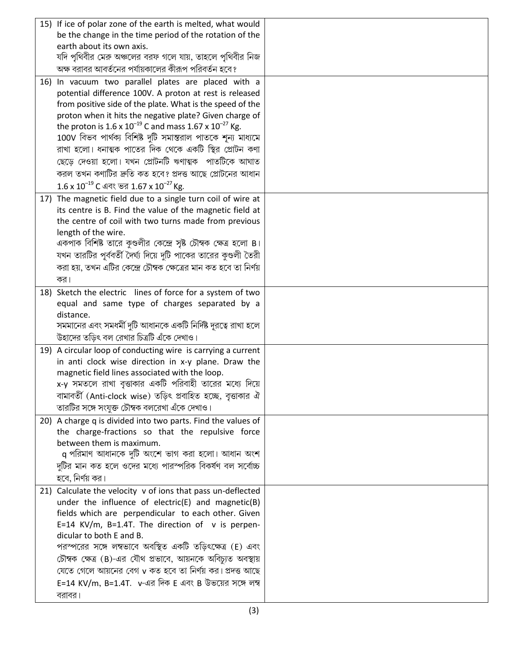| 15) If ice of polar zone of the earth is melted, what would<br>be the change in the time period of the rotation of the |  |
|------------------------------------------------------------------------------------------------------------------------|--|
| earth about its own axis.                                                                                              |  |
| যদি পৃথিবীর মেরু অঞ্চলের বরফ গলে যায়, তাহলে পৃথিবীর নিজ                                                               |  |
| অক্ষ বরাবর আবর্তনের পর্যায়কালের কীরূপ পরিবর্তন হবে?                                                                   |  |
|                                                                                                                        |  |
| 16) In vacuum two parallel plates are placed with a                                                                    |  |
| potential difference 100V. A proton at rest is released                                                                |  |
| from positive side of the plate. What is the speed of the                                                              |  |
| proton when it hits the negative plate? Given charge of                                                                |  |
| the proton is $1.6 \times 10^{-19}$ C and mass $1.67 \times 10^{-27}$ Kg.                                              |  |
| 100V বিভব পার্থক্য বিশিষ্ট দুটি সমান্তরাল পাতকে শূন্য মাধ্যমে                                                          |  |
| রাখা হলো। ধনাত্মক পাতের দিক থেকে একটি স্থির প্রোটন কণা                                                                 |  |
| ছেড়ে দেওয়া হলো। যখন প্রোটনটি ঋণাত্মক  পাতটিকে আঘাত                                                                   |  |
| করল তখন কণাটির দ্রুতি কত হবে? প্রদত্ত আছে প্রোটনের আধান                                                                |  |
| $1.6 \times 10^{-19}$ C এবং ভর $1.67 \times 10^{-27}$ Kg.                                                              |  |
| 17) The magnetic field due to a single turn coil of wire at                                                            |  |
| its centre is B. Find the value of the magnetic field at                                                               |  |
| the centre of coil with two turns made from previous                                                                   |  |
| length of the wire.                                                                                                    |  |
| একপাক বিশিষ্ট তারে কুণ্ডলীর কেন্দ্রে সৃষ্ট চৌম্বক ক্ষেত্র হলো B।                                                       |  |
| যখন তারটির পূর্ববর্তী দৈর্ঘ্য দিয়ে দুটি পাকের তারের কুণ্ডলী তৈরী                                                      |  |
| করা হয়, তখন এটির কেন্দ্রে চৌম্বক ক্ষেত্রের মান কত হবে তা নির্ণয়                                                      |  |
| কর।                                                                                                                    |  |
| 18) Sketch the electric lines of force for a system of two                                                             |  |
| equal and same type of charges separated by a                                                                          |  |
| distance.                                                                                                              |  |
| সমমানের এবং সমধর্মী দুটি আধানকে একটি নির্দিষ্ট দূরত্বে রাখা হলে                                                        |  |
| উহাদের তড়িৎ বল রেখার চিত্রটি এঁকে দেখাও।                                                                              |  |
| 19) A circular loop of conducting wire is carrying a current                                                           |  |
| in anti clock wise direction in x-y plane. Draw the                                                                    |  |
| magnetic field lines associated with the loop.                                                                         |  |
| x-y সমতলে রাখা বৃত্তাকার একটি পরিবাহী তারের মধ্যে দিয়ে                                                                |  |
| বামাবর্তী (Anti-clock wise) তড়িৎ প্রবাহিত হচ্ছে, বৃত্তাকার ঐ                                                          |  |
| তারটির সঙ্গে সংযুক্ত চৌম্বক বলরেখা এঁকে দেখাও।                                                                         |  |
| 20) A charge q is divided into two parts. Find the values of                                                           |  |
| the charge-fractions so that the repulsive force                                                                       |  |
| between them is maximum.                                                                                               |  |
| q পরিমাণ আধানকে দুটি অংশে ভাগ করা হলো। আধান অংশ                                                                        |  |
| দুটির মান কত হলে ওদের মধ্যে পারস্পরিক বিকর্ষণ বল সর্বোচ্চ                                                              |  |
| হবে, নির্ণয় কর।                                                                                                       |  |
| 21) Calculate the velocity v of ions that pass un-deflected                                                            |  |
| under the influence of electric( $E$ ) and magnetic( $B$ )                                                             |  |
| fields which are perpendicular to each other. Given                                                                    |  |
| E=14 KV/m, B=1.4T. The direction of $v$ is perpen-                                                                     |  |
| dicular to both E and B.                                                                                               |  |
| পরস্পরের সঙ্গে লম্বভাবে অবস্থিত একটি তড়িৎক্ষেত্র (E) এবং                                                              |  |
| চৌম্বক ক্ষেত্র (B)-এর যৌথ প্রভাবে, আয়নকে অবিচ্যুত অবস্থায়                                                            |  |
| যেতে গেলে আয়নের বেগ v কত হবে তা নির্ণয় কর। প্রদত্ত আছে                                                               |  |
| E=14 KV/m, B=1.4T. v-এর দিক E এবং B উভয়ের সঙ্গে লম্ব                                                                  |  |
| বরাবর।                                                                                                                 |  |